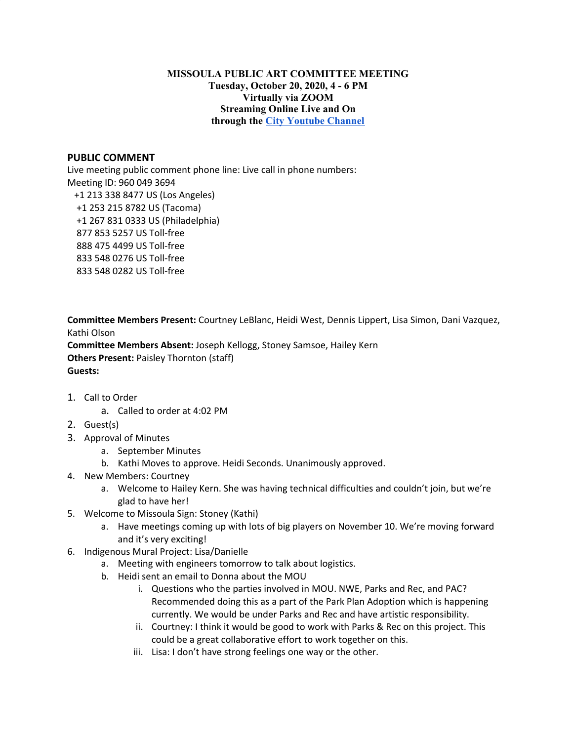## **MISSOULA PUBLIC ART COMMITTEE MEETING Tuesday, October 20, 2020, 4 - 6 PM Virtually via ZOOM Streaming Online Live and On through the City [Youtube](https://www.youtube.com/channel/UC5fnfMPFGSk8Gwq6F5UoqGg) Channel**

## **PUBLIC COMMENT**

Live meeting public comment phone line: Live call in phone numbers: Meeting ID: 960 049 3694 +1 213 338 8477 US (Los Angeles) +1 253 215 8782 US (Tacoma) +1 267 831 0333 US (Philadelphia) 877 853 5257 US Toll-free 888 475 4499 US Toll-free 833 548 0276 US Toll-free 833 548 0282 US Toll-free

**Committee Members Present:** Courtney LeBlanc, Heidi West, Dennis Lippert, Lisa Simon, Dani Vazquez, Kathi Olson **Committee Members Absent:** Joseph Kellogg, Stoney Samsoe, Hailey Kern **Others Present:** Paisley Thornton (staff) **Guests:**

- 1. Call to Order
	- a. Called to order at 4:02 PM
- 2. Guest(s)
- 3. Approval of Minutes
	- a. September Minutes
	- b. Kathi Moves to approve. Heidi Seconds. Unanimously approved.
- 4. New Members: Courtney
	- a. Welcome to Hailey Kern. She was having technical difficulties and couldn't join, but we're glad to have her!
- 5. Welcome to Missoula Sign: Stoney (Kathi)
	- a. Have meetings coming up with lots of big players on November 10. We're moving forward and it's very exciting!
- 6. Indigenous Mural Project: Lisa/Danielle
	- a. Meeting with engineers tomorrow to talk about logistics.
	- b. Heidi sent an email to Donna about the MOU
		- i. Questions who the parties involved in MOU. NWE, Parks and Rec, and PAC? Recommended doing this as a part of the Park Plan Adoption which is happening currently. We would be under Parks and Rec and have artistic responsibility.
		- ii. Courtney: I think it would be good to work with Parks & Rec on this project. This could be a great collaborative effort to work together on this.
		- iii. Lisa: I don't have strong feelings one way or the other.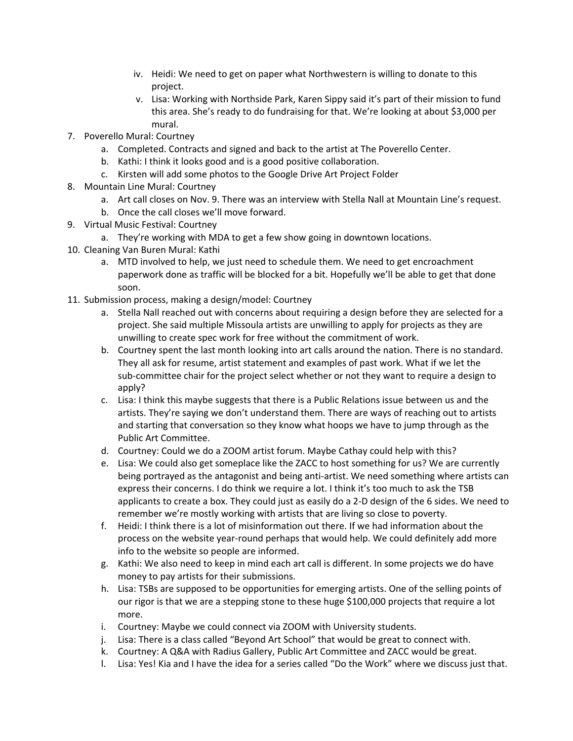- iv. Heidi: We need to get on paper what Northwestern is willing to donate to this project.
- v. Lisa: Working with Northside Park, Karen Sippy said it's part of their mission to fund this area. She's ready to do fundraising for that. We're looking at about \$3,000 per mural.
- 7. Poverello Mural: Courtney
	- a. Completed. Contracts and signed and back to the artist at The Poverello Center.
	- b. Kathi: I think it looks good and is a good positive collaboration.
	- c. Kirsten will add some photos to the Google Drive Art Project Folder
- 8. Mountain Line Mural: Courtney
	- a. Art call closes on Nov. 9. There was an interview with Stella Nall at Mountain Line's request.
	- b. Once the call closes we'll move forward.
- 9. Virtual Music Festival: Courtney
	- a. They're working with MDA to get a few show going in downtown locations.
- 10. Cleaning Van Buren Mural: Kathi
	- a. MTD involved to help, we just need to schedule them. We need to get encroachment paperwork done as traffic will be blocked for a bit. Hopefully we'll be able to get that done soon.
- 11. Submission process, making a design/model: Courtney
	- a. Stella Nall reached out with concerns about requiring a design before they are selected for a project. She said multiple Missoula artists are unwilling to apply for projects as they are unwilling to create spec work for free without the commitment of work.
	- b. Courtney spent the last month looking into art calls around the nation. There is no standard. They all ask for resume, artist statement and examples of past work. What if we let the sub-committee chair for the project select whether or not they want to require a design to apply?
	- c. Lisa: I think this maybe suggests that there is a Public Relations issue between us and the artists. They're saying we don't understand them. There are ways of reaching out to artists and starting that conversation so they know what hoops we have to jump through as the Public Art Committee.
	- d. Courtney: Could we do a ZOOM artist forum. Maybe Cathay could help with this?
	- e. Lisa: We could also get someplace like the ZACC to host something for us? We are currently being portrayed as the antagonist and being anti-artist. We need something where artists can express their concerns. I do think we require a lot. I think it's too much to ask the TSB applicants to create a box. They could just as easily do a 2-D design of the 6 sides. We need to remember we're mostly working with artists that are living so close to poverty.
	- f. Heidi: I think there is a lot of misinformation out there. If we had information about the process on the website year-round perhaps that would help. We could definitely add more info to the website so people are informed.
	- g. Kathi: We also need to keep in mind each art call is different. In some projects we do have money to pay artists for their submissions.
	- h. Lisa: TSBs are supposed to be opportunities for emerging artists. One of the selling points of our rigor is that we are a stepping stone to these huge \$100,000 projects that require a lot more.
	- i. Courtney: Maybe we could connect via ZOOM with University students.
	- j. Lisa: There is a class called "Beyond Art School" that would be great to connect with.
	- k. Courtney: A Q&A with Radius Gallery, Public Art Committee and ZACC would be great.
	- l. Lisa: Yes! Kia and I have the idea for a series called "Do the Work" where we discuss just that.